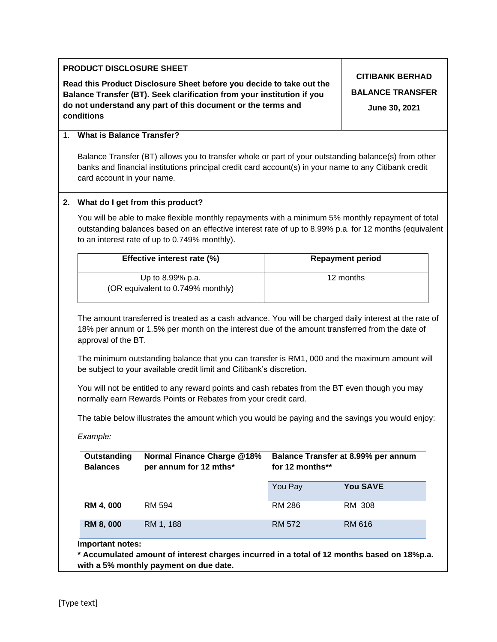| <b>CITIBANK BERHAD</b><br>Read this Product Disclosure Sheet before you decide to take out the<br>Balance Transfer (BT). Seek clarification from your institution if you<br>do not understand any part of this document or the terms and<br>June 30, 2021<br>conditions<br><b>What is Balance Transfer?</b><br>$1_{-}$<br>banks and financial institutions principal credit card account(s) in your name to any Citibank credit<br>card account in your name.<br>2. What do I get from this product?<br>to an interest rate of up to 0.749% monthly).<br>Effective interest rate (%)<br><b>Repayment period</b><br>12 months<br>Up to 8.99% p.a.<br>(OR equivalent to 0.749% monthly)<br>The amount transferred is treated as a cash advance. You will be charged daily interest at the rate of<br>18% per annum or 1.5% per month on the interest due of the amount transferred from the date of<br>approval of the BT.<br>The minimum outstanding balance that you can transfer is RM1, 000 and the maximum amount will<br>be subject to your available credit limit and Citibank's discretion.<br>You will not be entitled to any reward points and cash rebates from the BT even though you may<br>normally earn Rewards Points or Rebates from your credit card.<br>The table below illustrates the amount which you would be paying and the savings you would enjoy:<br>Example:<br><b>Normal Finance Charge @18%</b><br>Balance Transfer at 8.99% per annum<br><b>Outstanding</b><br><b>Balances</b><br>for 12 months**<br>per annum for 12 mths*<br><b>You SAVE</b><br>You Pay<br><b>RM 286</b><br>RM 4,000<br>RM 308<br>RM 594<br><b>RM 8,000</b><br>RM 1, 188<br><b>RM 572</b><br><b>RM 616</b><br>Important notes:<br>* Accumulated amount of interest charges incurred in a total of 12 months based on 18%p.a.<br>with a 5% monthly payment on due date. | PRODUCT DISCLOSURE SHEET                                                                                                                                                                                    |  |  |                         |  |  |  |
|-----------------------------------------------------------------------------------------------------------------------------------------------------------------------------------------------------------------------------------------------------------------------------------------------------------------------------------------------------------------------------------------------------------------------------------------------------------------------------------------------------------------------------------------------------------------------------------------------------------------------------------------------------------------------------------------------------------------------------------------------------------------------------------------------------------------------------------------------------------------------------------------------------------------------------------------------------------------------------------------------------------------------------------------------------------------------------------------------------------------------------------------------------------------------------------------------------------------------------------------------------------------------------------------------------------------------------------------------------------------------------------------------------------------------------------------------------------------------------------------------------------------------------------------------------------------------------------------------------------------------------------------------------------------------------------------------------------------------------------------------------------------------------------------------------------------------------------------------------------------------|-------------------------------------------------------------------------------------------------------------------------------------------------------------------------------------------------------------|--|--|-------------------------|--|--|--|
|                                                                                                                                                                                                                                                                                                                                                                                                                                                                                                                                                                                                                                                                                                                                                                                                                                                                                                                                                                                                                                                                                                                                                                                                                                                                                                                                                                                                                                                                                                                                                                                                                                                                                                                                                                                                                                                                       |                                                                                                                                                                                                             |  |  | <b>BALANCE TRANSFER</b> |  |  |  |
|                                                                                                                                                                                                                                                                                                                                                                                                                                                                                                                                                                                                                                                                                                                                                                                                                                                                                                                                                                                                                                                                                                                                                                                                                                                                                                                                                                                                                                                                                                                                                                                                                                                                                                                                                                                                                                                                       |                                                                                                                                                                                                             |  |  |                         |  |  |  |
|                                                                                                                                                                                                                                                                                                                                                                                                                                                                                                                                                                                                                                                                                                                                                                                                                                                                                                                                                                                                                                                                                                                                                                                                                                                                                                                                                                                                                                                                                                                                                                                                                                                                                                                                                                                                                                                                       | Balance Transfer (BT) allows you to transfer whole or part of your outstanding balance(s) from other                                                                                                        |  |  |                         |  |  |  |
|                                                                                                                                                                                                                                                                                                                                                                                                                                                                                                                                                                                                                                                                                                                                                                                                                                                                                                                                                                                                                                                                                                                                                                                                                                                                                                                                                                                                                                                                                                                                                                                                                                                                                                                                                                                                                                                                       |                                                                                                                                                                                                             |  |  |                         |  |  |  |
|                                                                                                                                                                                                                                                                                                                                                                                                                                                                                                                                                                                                                                                                                                                                                                                                                                                                                                                                                                                                                                                                                                                                                                                                                                                                                                                                                                                                                                                                                                                                                                                                                                                                                                                                                                                                                                                                       | You will be able to make flexible monthly repayments with a minimum 5% monthly repayment of total<br>outstanding balances based on an effective interest rate of up to 8.99% p.a. for 12 months (equivalent |  |  |                         |  |  |  |
|                                                                                                                                                                                                                                                                                                                                                                                                                                                                                                                                                                                                                                                                                                                                                                                                                                                                                                                                                                                                                                                                                                                                                                                                                                                                                                                                                                                                                                                                                                                                                                                                                                                                                                                                                                                                                                                                       |                                                                                                                                                                                                             |  |  |                         |  |  |  |
|                                                                                                                                                                                                                                                                                                                                                                                                                                                                                                                                                                                                                                                                                                                                                                                                                                                                                                                                                                                                                                                                                                                                                                                                                                                                                                                                                                                                                                                                                                                                                                                                                                                                                                                                                                                                                                                                       |                                                                                                                                                                                                             |  |  |                         |  |  |  |
|                                                                                                                                                                                                                                                                                                                                                                                                                                                                                                                                                                                                                                                                                                                                                                                                                                                                                                                                                                                                                                                                                                                                                                                                                                                                                                                                                                                                                                                                                                                                                                                                                                                                                                                                                                                                                                                                       |                                                                                                                                                                                                             |  |  |                         |  |  |  |
|                                                                                                                                                                                                                                                                                                                                                                                                                                                                                                                                                                                                                                                                                                                                                                                                                                                                                                                                                                                                                                                                                                                                                                                                                                                                                                                                                                                                                                                                                                                                                                                                                                                                                                                                                                                                                                                                       |                                                                                                                                                                                                             |  |  |                         |  |  |  |
|                                                                                                                                                                                                                                                                                                                                                                                                                                                                                                                                                                                                                                                                                                                                                                                                                                                                                                                                                                                                                                                                                                                                                                                                                                                                                                                                                                                                                                                                                                                                                                                                                                                                                                                                                                                                                                                                       |                                                                                                                                                                                                             |  |  |                         |  |  |  |
|                                                                                                                                                                                                                                                                                                                                                                                                                                                                                                                                                                                                                                                                                                                                                                                                                                                                                                                                                                                                                                                                                                                                                                                                                                                                                                                                                                                                                                                                                                                                                                                                                                                                                                                                                                                                                                                                       |                                                                                                                                                                                                             |  |  |                         |  |  |  |
|                                                                                                                                                                                                                                                                                                                                                                                                                                                                                                                                                                                                                                                                                                                                                                                                                                                                                                                                                                                                                                                                                                                                                                                                                                                                                                                                                                                                                                                                                                                                                                                                                                                                                                                                                                                                                                                                       |                                                                                                                                                                                                             |  |  |                         |  |  |  |
|                                                                                                                                                                                                                                                                                                                                                                                                                                                                                                                                                                                                                                                                                                                                                                                                                                                                                                                                                                                                                                                                                                                                                                                                                                                                                                                                                                                                                                                                                                                                                                                                                                                                                                                                                                                                                                                                       |                                                                                                                                                                                                             |  |  |                         |  |  |  |
|                                                                                                                                                                                                                                                                                                                                                                                                                                                                                                                                                                                                                                                                                                                                                                                                                                                                                                                                                                                                                                                                                                                                                                                                                                                                                                                                                                                                                                                                                                                                                                                                                                                                                                                                                                                                                                                                       |                                                                                                                                                                                                             |  |  |                         |  |  |  |
|                                                                                                                                                                                                                                                                                                                                                                                                                                                                                                                                                                                                                                                                                                                                                                                                                                                                                                                                                                                                                                                                                                                                                                                                                                                                                                                                                                                                                                                                                                                                                                                                                                                                                                                                                                                                                                                                       |                                                                                                                                                                                                             |  |  |                         |  |  |  |
|                                                                                                                                                                                                                                                                                                                                                                                                                                                                                                                                                                                                                                                                                                                                                                                                                                                                                                                                                                                                                                                                                                                                                                                                                                                                                                                                                                                                                                                                                                                                                                                                                                                                                                                                                                                                                                                                       |                                                                                                                                                                                                             |  |  |                         |  |  |  |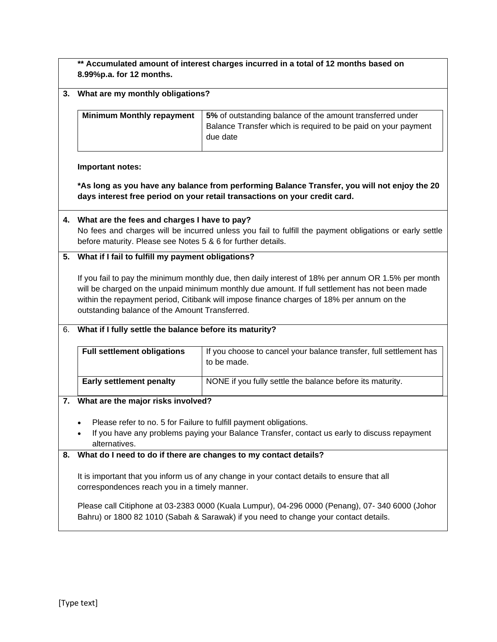|    | ** Accumulated amount of interest charges incurred in a total of 12 months based on<br>8.99%p.a. for 12 months.                                                                                                                                                                                                                                                                                             |                                                                                   |  |  |  |  |
|----|-------------------------------------------------------------------------------------------------------------------------------------------------------------------------------------------------------------------------------------------------------------------------------------------------------------------------------------------------------------------------------------------------------------|-----------------------------------------------------------------------------------|--|--|--|--|
| 3. | What are my monthly obligations?                                                                                                                                                                                                                                                                                                                                                                            |                                                                                   |  |  |  |  |
|    | <b>Minimum Monthly repayment</b><br>5% of outstanding balance of the amount transferred under<br>Balance Transfer which is required to be paid on your payment<br>due date                                                                                                                                                                                                                                  |                                                                                   |  |  |  |  |
|    | Important notes:                                                                                                                                                                                                                                                                                                                                                                                            |                                                                                   |  |  |  |  |
|    | *As long as you have any balance from performing Balance Transfer, you will not enjoy the 20<br>days interest free period on your retail transactions on your credit card.                                                                                                                                                                                                                                  |                                                                                   |  |  |  |  |
|    | 4. What are the fees and charges I have to pay?<br>No fees and charges will be incurred unless you fail to fulfill the payment obligations or early settle<br>before maturity. Please see Notes 5 & 6 for further details.                                                                                                                                                                                  |                                                                                   |  |  |  |  |
|    | 5. What if I fail to fulfill my payment obligations?                                                                                                                                                                                                                                                                                                                                                        |                                                                                   |  |  |  |  |
|    | If you fail to pay the minimum monthly due, then daily interest of 18% per annum OR 1.5% per month<br>will be charged on the unpaid minimum monthly due amount. If full settlement has not been made<br>within the repayment period, Citibank will impose finance charges of 18% per annum on the<br>outstanding balance of the Amount Transferred.                                                         |                                                                                   |  |  |  |  |
|    | 6. What if I fully settle the balance before its maturity?                                                                                                                                                                                                                                                                                                                                                  |                                                                                   |  |  |  |  |
|    | <b>Full settlement obligations</b>                                                                                                                                                                                                                                                                                                                                                                          | If you choose to cancel your balance transfer, full settlement has<br>to be made. |  |  |  |  |
|    | <b>Early settlement penalty</b>                                                                                                                                                                                                                                                                                                                                                                             | NONE if you fully settle the balance before its maturity.                         |  |  |  |  |
|    | 7. What are the major risks involved?                                                                                                                                                                                                                                                                                                                                                                       |                                                                                   |  |  |  |  |
|    | Please refer to no. 5 for Failure to fulfill payment obligations.<br>If you have any problems paying your Balance Transfer, contact us early to discuss repayment<br>alternatives.                                                                                                                                                                                                                          |                                                                                   |  |  |  |  |
| 8. | What do I need to do if there are changes to my contact details?<br>It is important that you inform us of any change in your contact details to ensure that all<br>correspondences reach you in a timely manner.<br>Please call Citiphone at 03-2383 0000 (Kuala Lumpur), 04-296 0000 (Penang), 07- 340 6000 (Johor<br>Bahru) or 1800 82 1010 (Sabah & Sarawak) if you need to change your contact details. |                                                                                   |  |  |  |  |
|    |                                                                                                                                                                                                                                                                                                                                                                                                             |                                                                                   |  |  |  |  |
|    |                                                                                                                                                                                                                                                                                                                                                                                                             |                                                                                   |  |  |  |  |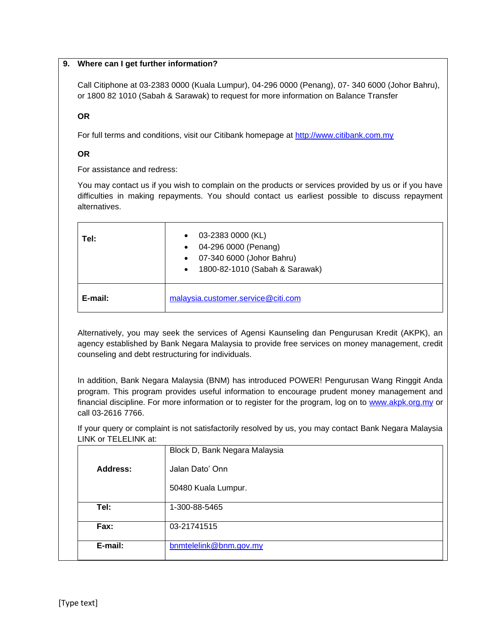## **9. Where can I get further information?**

Call Citiphone at 03-2383 0000 (Kuala Lumpur), 04-296 0000 (Penang), 07- 340 6000 (Johor Bahru), or 1800 82 1010 (Sabah & Sarawak) to request for more information on Balance Transfer

## **OR**

For full terms and conditions, visit our Citibank homepage at [http://www.citibank.com.my](http://www.citibank.com.my/english/existing-cardmembers/cardmembers-balance-transfer.htm)

# **OR**

For assistance and redress:

You may contact us if you wish to complain on the products or services provided by us or if you have difficulties in making repayments. You should contact us earliest possible to discuss repayment alternatives.

| Tel:    | 03-2383 0000 (KL)<br>04-296 0000 (Penang)<br>$\bullet$<br>07-340 6000 (Johor Bahru)<br>$\bullet$<br>1800-82-1010 (Sabah & Sarawak)<br>$\bullet$ |  |
|---------|-------------------------------------------------------------------------------------------------------------------------------------------------|--|
| E-mail: | malaysia.customer.service@citi.com                                                                                                              |  |

Alternatively, you may seek the services of Agensi Kaunseling dan Pengurusan Kredit (AKPK), an agency established by Bank Negara Malaysia to provide free services on money management, credit counseling and debt restructuring for individuals.

In addition, Bank Negara Malaysia (BNM) has introduced POWER! Pengurusan Wang Ringgit Anda program. This program provides useful information to encourage prudent money management and financial discipline. For more information or to register for the program, log on to [www.akpk.org.my](http://www.akpk.org.my/) or call 03-2616 7766.

If your query or complaint is not satisfactorily resolved by us, you may contact Bank Negara Malaysia LINK or TELELINK at:

|          | Block D, Bank Negara Malaysia |
|----------|-------------------------------|
| Address: | Jalan Dato' Onn               |
|          | 50480 Kuala Lumpur.           |
| Tel:     | 1-300-88-5465                 |
| Fax:     | 03-21741515                   |
| E-mail:  | bnmtelelink@bnm.gov.my        |